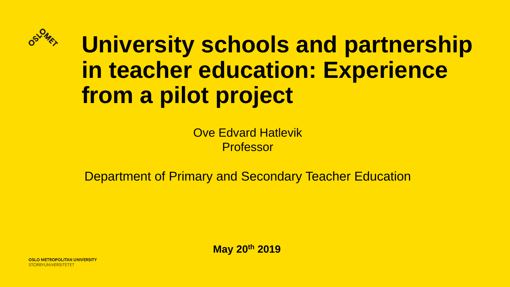

**University schools and partnership in teacher education: Experience from a pilot project**

> Ove Edvard Hatlevik Professor

Department of Primary and Secondary Teacher Education

**May 20th 2019**

O METROPOLITAN UNIVERSITY **STORBYUNIVERSITETET**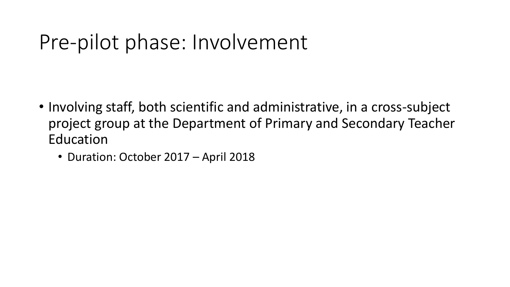## Pre-pilot phase: Involvement

- Involving staff, both scientific and administrative, in a cross-subject project group at the Department of Primary and Secondary Teacher Education
	- Duration: October 2017 April 2018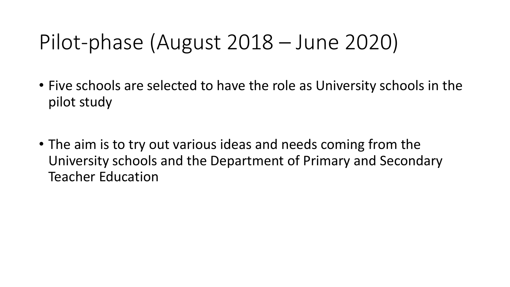# Pilot-phase (August 2018 – June 2020)

- Five schools are selected to have the role as University schools in the pilot study
- The aim is to try out various ideas and needs coming from the University schools and the Department of Primary and Secondary Teacher Education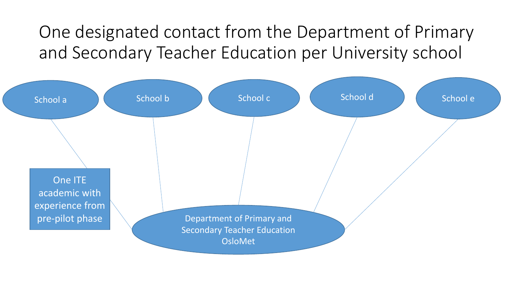One designated contact from the Department of Primary and Secondary Teacher Education per University school

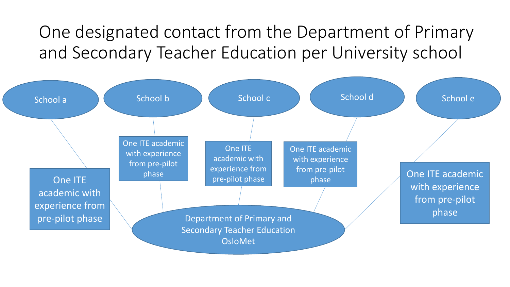One designated contact from the Department of Primary and Secondary Teacher Education per University school

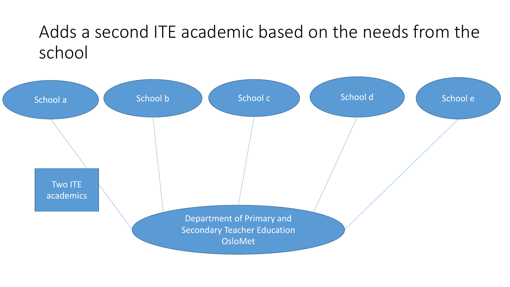#### Adds a second ITE academic based on the needs from the school

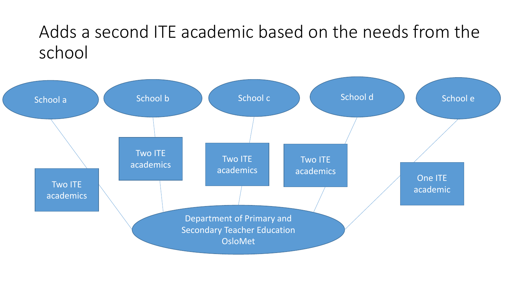#### Adds a second ITE academic based on the needs from the school